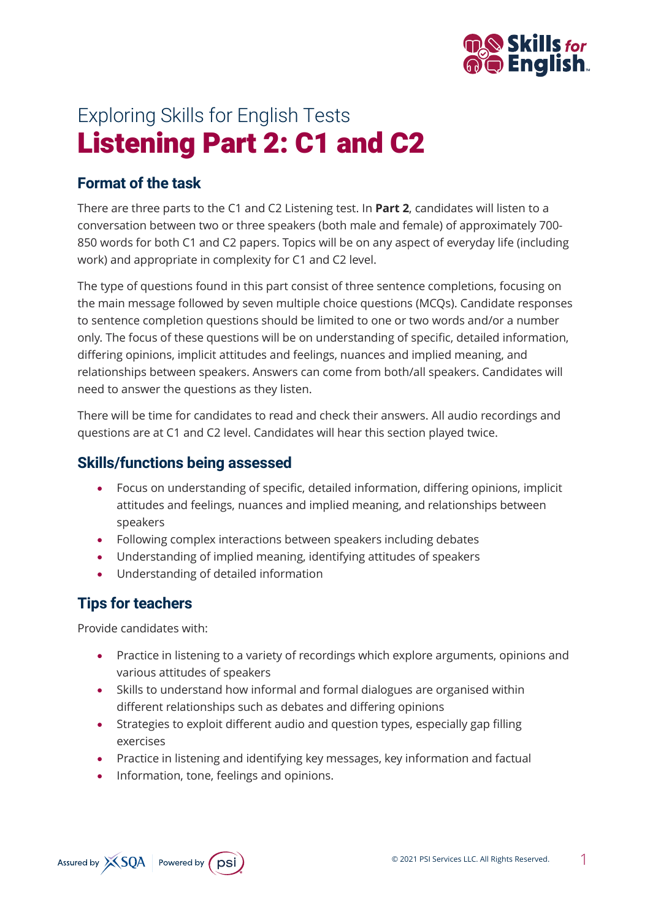

# Exploring Skills for English Tests Listening Part 2: C1 and C2

#### **Format of the task**

There are three parts to the C1 and C2 Listening test. In **Part 2**, candidates will listen to a conversation between two or three speakers (both male and female) of approximately 700- 850 words for both C1 and C2 papers. Topics will be on any aspect of everyday life (including work) and appropriate in complexity for C1 and C2 level.

The type of questions found in this part consist of three sentence completions, focusing on the main message followed by seven multiple choice questions (MCQs). Candidate responses to sentence completion questions should be limited to one or two words and/or a number only. The focus of these questions will be on understanding of specific, detailed information, differing opinions, implicit attitudes and feelings, nuances and implied meaning, and relationships between speakers. Answers can come from both/all speakers. Candidates will need to answer the questions as they listen.

There will be time for candidates to read and check their answers. All audio recordings and questions are at C1 and C2 level. Candidates will hear this section played twice.

#### **Skills/functions being assessed**

- Focus on understanding of specific, detailed information, differing opinions, implicit attitudes and feelings, nuances and implied meaning, and relationships between speakers
- Following complex interactions between speakers including debates
- Understanding of implied meaning, identifying attitudes of speakers
- Understanding of detailed information

### **Tips for teachers**

Provide candidates with:

- Practice in listening to a variety of recordings which explore arguments, opinions and various attitudes of speakers
- Skills to understand how informal and formal dialogues are organised within different relationships such as debates and differing opinions
- Strategies to exploit different audio and question types, especially gap filling exercises
- Practice in listening and identifying key messages, key information and factual
- Information, tone, feelings and opinions.

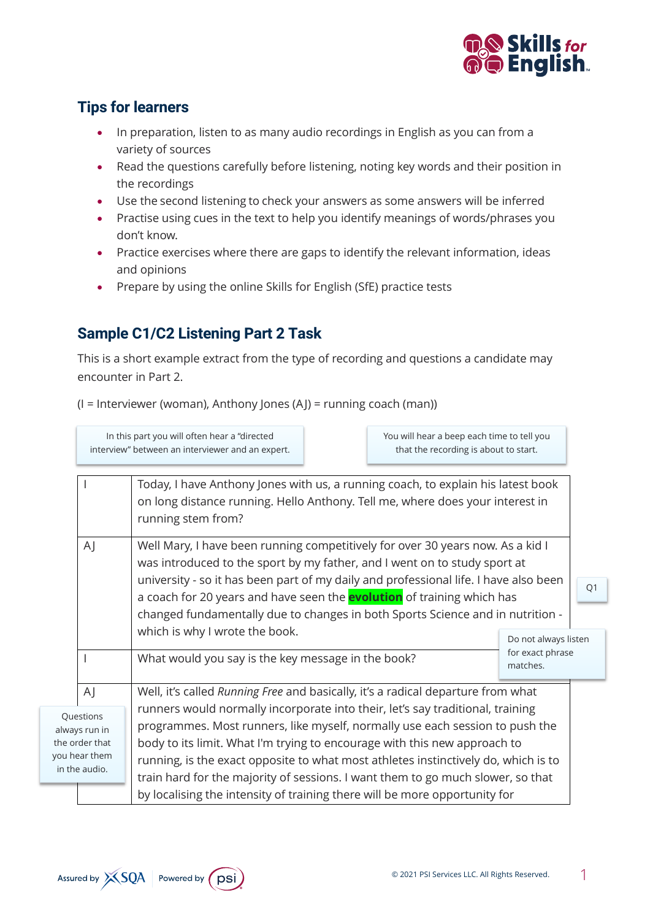

#### **Tips for learners**

- In preparation, listen to as many audio recordings in English as you can from a variety of sources
- Read the questions carefully before listening, noting key words and their position in the recordings
- Use the second listening to check your answers as some answers will be inferred
- Practise using cues in the text to help you identify meanings of words/phrases you don't know.
- Practice exercises where there are gaps to identify the relevant information, ideas and opinions
- Prepare by using the online Skills for English (SfE) practice tests

## **Sample C1/C2 Listening Part 2 Task**

This is a short example extract from the type of recording and questions a candidate may encounter in Part 2.

(I = Interviewer (woman), Anthony Jones (AJ) = running coach (man))

In this part you will often hear a "directed interview" between an interviewer and an expert. You will hear a beep each time to tell you that the recording is about to start.

|                                                                                |              | Today, I have Anthony Jones with us, a running coach, to explain his latest book<br>on long distance running. Hello Anthony. Tell me, where does your interest in<br>running stem from?                                                         |                              |    |                                                                                 |  |                                                                            |
|--------------------------------------------------------------------------------|--------------|-------------------------------------------------------------------------------------------------------------------------------------------------------------------------------------------------------------------------------------------------|------------------------------|----|---------------------------------------------------------------------------------|--|----------------------------------------------------------------------------|
|                                                                                | $\mathsf{A}$ | Well Mary, I have been running competitively for over 30 years now. As a kid I<br>was introduced to the sport by my father, and I went on to study sport at                                                                                     |                              |    |                                                                                 |  |                                                                            |
|                                                                                |              | university - so it has been part of my daily and professional life. I have also been<br>a coach for 20 years and have seen the <b>evolution</b> of training which has                                                                           |                              | Q1 |                                                                                 |  |                                                                            |
|                                                                                |              | changed fundamentally due to changes in both Sports Science and in nutrition -                                                                                                                                                                  |                              |    |                                                                                 |  |                                                                            |
|                                                                                |              | which is why I wrote the book.                                                                                                                                                                                                                  | Do not always listen         |    |                                                                                 |  |                                                                            |
|                                                                                |              | What would you say is the key message in the book?                                                                                                                                                                                              | for exact phrase<br>matches. |    |                                                                                 |  |                                                                            |
|                                                                                | $\mathsf{A}$ | Well, it's called Running Free and basically, it's a radical departure from what                                                                                                                                                                |                              |    |                                                                                 |  |                                                                            |
| Questions<br>always run in<br>the order that<br>you hear them<br>in the audio. |              | runners would normally incorporate into their, let's say traditional, training                                                                                                                                                                  |                              |    |                                                                                 |  |                                                                            |
|                                                                                |              | programmes. Most runners, like myself, normally use each session to push the<br>body to its limit. What I'm trying to encourage with this new approach to<br>running, is the exact opposite to what most athletes instinctively do, which is to |                              |    |                                                                                 |  |                                                                            |
|                                                                                |              |                                                                                                                                                                                                                                                 |                              |    | train hard for the majority of sessions. I want them to go much slower, so that |  |                                                                            |
|                                                                                |              |                                                                                                                                                                                                                                                 |                              |    |                                                                                 |  | by localising the intensity of training there will be more opportunity for |

the you